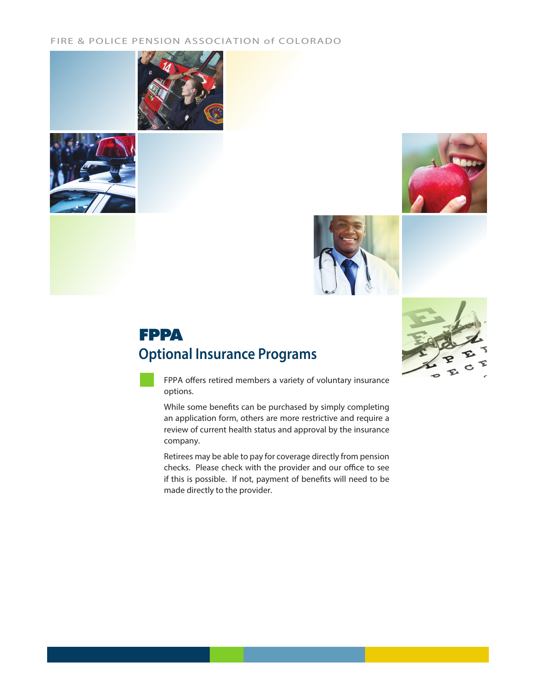#### FIRE & POLICE PENSION ASSOCIATION of COLORADO









# **Optional Insurance Programs FPPA**



FPPA offers retired members a variety of voluntary insurance options.

While some benefits can be purchased by simply completing an application form, others are more restrictive and require a review of current health status and approval by the insurance company.

Retirees may be able to pay for coverage directly from pension checks. Please check with the provider and our office to see if this is possible. If not, payment of benefits will need to be made directly to the provider.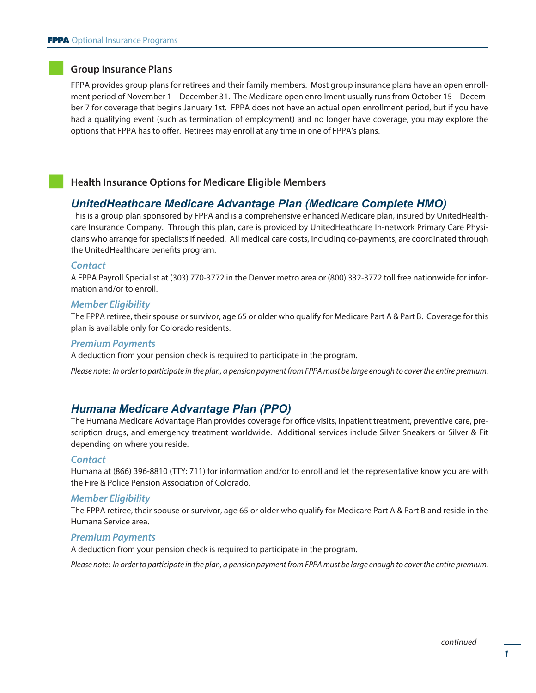#### **Group Insurance Plans**

FPPA provides group plans for retirees and their family members. Most group insurance plans have an open enrollment period of November 1 – December 31. The Medicare open enrollment usually runs from October 15 – December 7 for coverage that begins January 1st. FPPA does not have an actual open enrollment period, but if you have had a qualifying event (such as termination of employment) and no longer have coverage, you may explore the options that FPPA has to offer. Retirees may enroll at any time in one of FPPA's plans.

#### **Health Insurance Options for Medicare Eligible Members**

## *UnitedHeathcare Medicare Advantage Plan (Medicare Complete HMO)*

This is a group plan sponsored by FPPA and is a comprehensive enhanced Medicare plan, insured by UnitedHealthcare Insurance Company. Through this plan, care is provided by UnitedHeathcare In-network Primary Care Physicians who arrange for specialists if needed. All medical care costs, including co-payments, are coordinated through the UnitedHealthcare benefits program.

#### *Contact*

A FPPA Payroll Specialist at (303) 770-3772 in the Denver metro area or (800) 332-3772 toll free nationwide for information and/or to enroll.

#### *Member Eligibility*

The FPPA retiree, their spouse or survivor, age 65 or older who qualify for Medicare Part A & Part B. Coverage for this plan is available only for Colorado residents.

#### *Premium Payments*

A deduction from your pension check is required to participate in the program.

*Please note: In order to participate in the plan, a pension payment from FPPA must be large enough to cover the entire premium.*

#### *Humana Medicare Advantage Plan (PPO)*

The Humana Medicare Advantage Plan provides coverage for office visits, inpatient treatment, preventive care, prescription drugs, and emergency treatment worldwide. Additional services include Silver Sneakers or Silver & Fit depending on where you reside.

#### *Contact*

Humana at (866) 396-8810 (TTY: 711) for information and/or to enroll and let the representative know you are with the Fire & Police Pension Association of Colorado.

#### *Member Eligibility*

The FPPA retiree, their spouse or survivor, age 65 or older who qualify for Medicare Part A & Part B and reside in the Humana Service area.

#### *Premium Payments*

A deduction from your pension check is required to participate in the program.

*Please note: In order to participate in the plan, a pension payment from FPPA must be large enough to cover the entire premium.*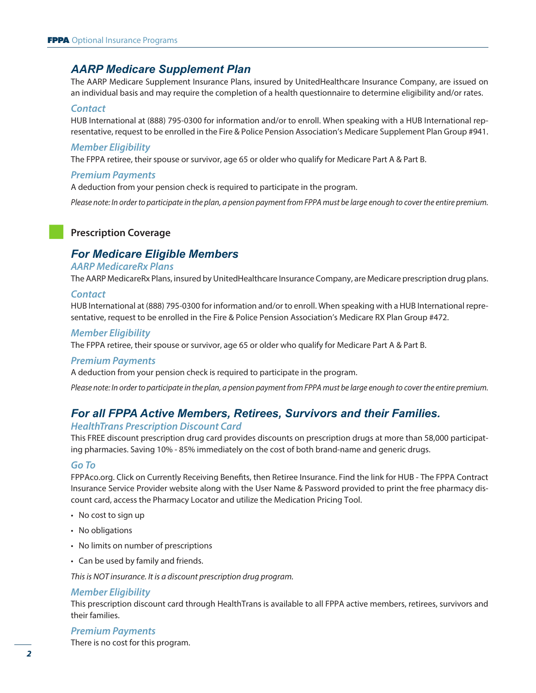# *AARP Medicare Supplement Plan*

The AARP Medicare Supplement Insurance Plans, insured by UnitedHealthcare Insurance Company, are issued on an individual basis and may require the completion of a health questionnaire to determine eligibility and/or rates.

#### *Contact*

HUB International at (888) 795-0300 for information and/or to enroll. When speaking with a HUB International representative, request to be enrolled in the Fire & Police Pension Association's Medicare Supplement Plan Group #941.

#### *Member Eligibility*

The FPPA retiree, their spouse or survivor, age 65 or older who qualify for Medicare Part A & Part B.

#### *Premium Payments*

A deduction from your pension check is required to participate in the program.

*Please note: In order to participate in the plan, a pension payment from FPPA must be large enough to cover the entire premium.*

# **Prescription Coverage**

# *For Medicare Eligible Members*

#### *AARP MedicareRx Plans*

The AARP MedicareRx Plans, insured by UnitedHealthcare Insurance Company, are Medicare prescription drug plans.

#### *Contact*

HUB International at (888) 795-0300 for information and/or to enroll. When speaking with a HUB International representative, request to be enrolled in the Fire & Police Pension Association's Medicare RX Plan Group #472.

#### *Member Eligibility*

The FPPA retiree, their spouse or survivor, age 65 or older who qualify for Medicare Part A & Part B.

#### *Premium Payments*

A deduction from your pension check is required to participate in the program.

*Please note: In order to participate in the plan, a pension payment from FPPA must be large enough to cover the entire premium.*

# *For all FPPA Active Members, Retirees, Survivors and their Families.*

#### *HealthTrans Prescription Discount Card*

This FREE discount prescription drug card provides discounts on prescription drugs at more than 58,000 participating pharmacies. Saving 10% - 85% immediately on the cost of both brand-name and generic drugs.

#### *Go To*

FPPAco.org. Click on Currently Receiving Benefits, then Retiree Insurance. Find the link for HUB - The FPPA Contract Insurance Service Provider website along with the User Name & Password provided to print the free pharmacy discount card, access the Pharmacy Locator and utilize the Medication Pricing Tool.

- No cost to sign up
- No obligations
- No limits on number of prescriptions
- Can be used by family and friends.

*This is NOT insurance. It is a discount prescription drug program.*

#### *Member Eligibility*

This prescription discount card through HealthTrans is available to all FPPA active members, retirees, survivors and their families.

#### *Premium Payments*

There is no cost for this program.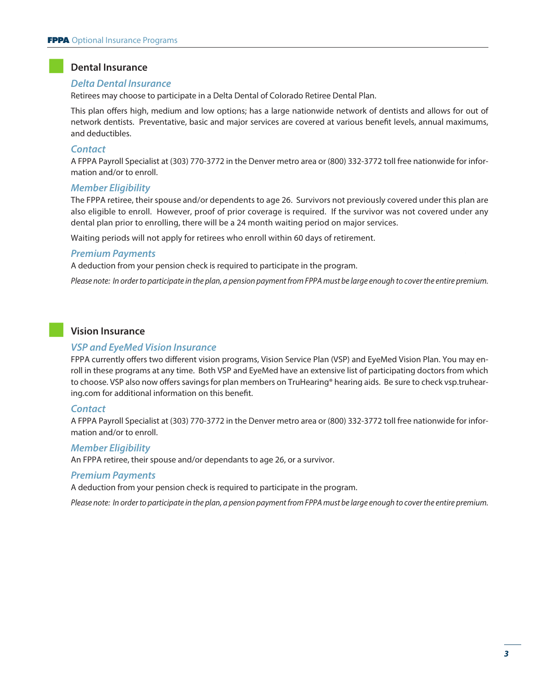## **Dental Insurance**

#### *Delta Dental Insurance*

Retirees may choose to participate in a Delta Dental of Colorado Retiree Dental Plan.

This plan offers high, medium and low options; has a large nationwide network of dentists and allows for out of network dentists. Preventative, basic and major services are covered at various benefit levels, annual maximums, and deductibles.

#### *Contact*

A FPPA Payroll Specialist at (303) 770-3772 in the Denver metro area or (800) 332-3772 toll free nationwide for information and/or to enroll.

#### *Member Eligibility*

The FPPA retiree, their spouse and/or dependents to age 26. Survivors not previously covered under this plan are also eligible to enroll. However, proof of prior coverage is required. If the survivor was not covered under any dental plan prior to enrolling, there will be a 24 month waiting period on major services.

Waiting periods will not apply for retirees who enroll within 60 days of retirement.

#### *Premium Payments*

A deduction from your pension check is required to participate in the program.

*Please note: In order to participate in the plan, a pension payment from FPPA must be large enough to cover the entire premium.*

#### **Vision Insurance**

#### *VSP and EyeMed Vision Insurance*

FPPA currently offers two different vision programs, Vision Service Plan (VSP) and EyeMed Vision Plan. You may enroll in these programs at any time. Both VSP and EyeMed have an extensive list of participating doctors from which to choose. VSP also now offers savings for plan members on TruHearing® hearing aids. Be sure to check vsp.truhearing.com for additional information on this benefit.

#### *Contact*

A FPPA Payroll Specialist at (303) 770-3772 in the Denver metro area or (800) 332-3772 toll free nationwide for information and/or to enroll.

#### *Member Eligibility*

An FPPA retiree, their spouse and/or dependants to age 26, or a survivor.

#### *Premium Payments*

A deduction from your pension check is required to participate in the program.

*Please note: In order to participate in the plan, a pension payment from FPPA must be large enough to cover the entire premium.*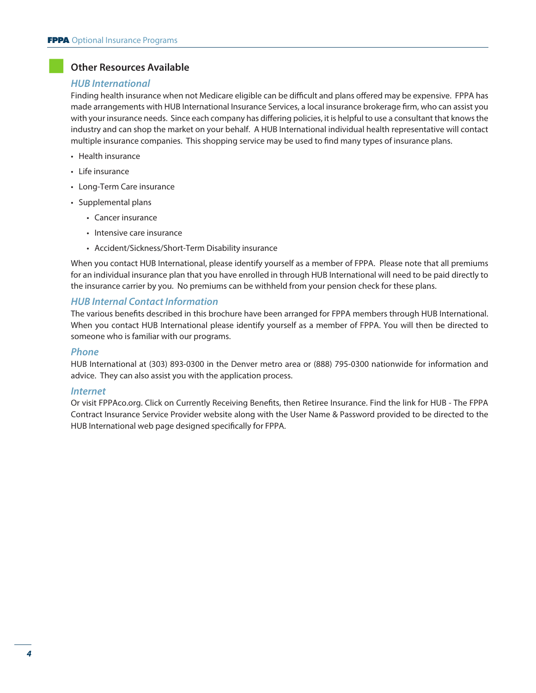# **Other Resources Available**

#### *HUB International*

Finding health insurance when not Medicare eligible can be difficult and plans offered may be expensive. FPPA has made arrangements with HUB International Insurance Services, a local insurance brokerage firm, who can assist you with your insurance needs. Since each company has differing policies, it is helpful to use a consultant that knows the industry and can shop the market on your behalf. A HUB International individual health representative will contact multiple insurance companies. This shopping service may be used to find many types of insurance plans.

- Health insurance
- Life insurance
- Long-Term Care insurance
- Supplemental plans
	- Cancer insurance
	- Intensive care insurance
	- Accident/Sickness/Short-Term Disability insurance

When you contact HUB International, please identify yourself as a member of FPPA. Please note that all premiums for an individual insurance plan that you have enrolled in through HUB International will need to be paid directly to the insurance carrier by you. No premiums can be withheld from your pension check for these plans.

#### *HUB Internal Contact Information*

The various benefits described in this brochure have been arranged for FPPA members through HUB International. When you contact HUB International please identify yourself as a member of FPPA. You will then be directed to someone who is familiar with our programs.

#### *Phone*

HUB International at (303) 893-0300 in the Denver metro area or (888) 795-0300 nationwide for information and advice. They can also assist you with the application process.

#### *Internet*

Or visit FPPAco.org. Click on Currently Receiving Benefits, then Retiree Insurance. Find the link for HUB - The FPPA Contract Insurance Service Provider website along with the User Name & Password provided to be directed to the HUB International web page designed specifically for FPPA.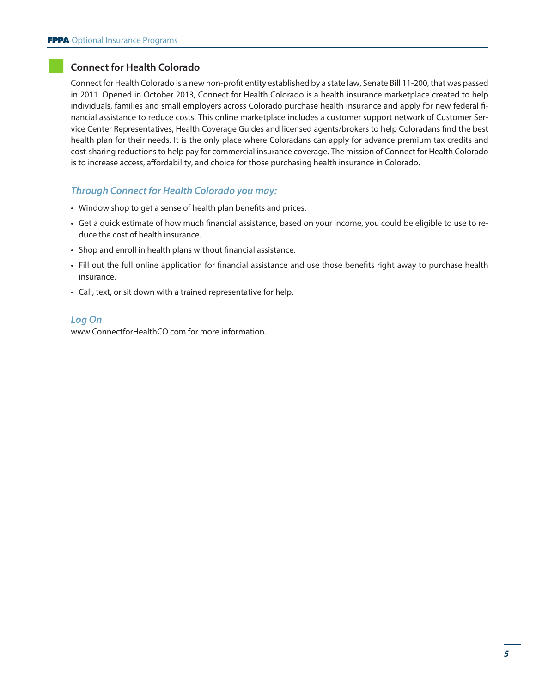# **Connect for Health Colorado**

Connect for Health Colorado is a new non-profit entity established by a state law, Senate Bill 11-200, that was passed in 2011. Opened in October 2013, Connect for Health Colorado is a health insurance marketplace created to help individuals, families and small employers across Colorado purchase health insurance and apply for new federal financial assistance to reduce costs. This online marketplace includes a customer support network of Customer Service Center Representatives, Health Coverage Guides and licensed agents/brokers to help Coloradans find the best health plan for their needs. It is the only place where Coloradans can apply for advance premium tax credits and cost-sharing reductions to help pay for commercial insurance coverage. The mission of Connect for Health Colorado is to increase access, affordability, and choice for those purchasing health insurance in Colorado.

# *Through Connect for Health Colorado you may:*

- Window shop to get a sense of health plan benefits and prices.
- Get a quick estimate of how much financial assistance, based on your income, you could be eligible to use to reduce the cost of health insurance.
- Shop and enroll in health plans without financial assistance.
- Fill out the full online application for financial assistance and use those benefits right away to purchase health insurance.
- Call, text, or sit down with a trained representative for help.

#### *Log On*

www.ConnectforHealthCO.com for more information.